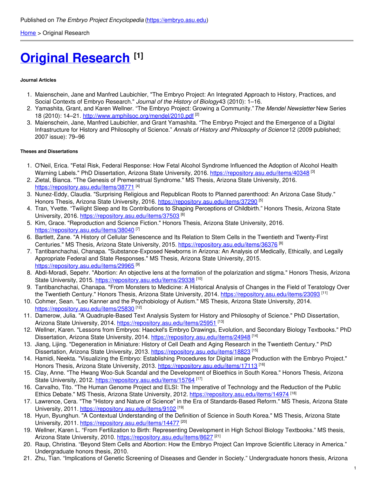# **Original [Research](https://embryo.asu.edu/info/original-research) [1]**

### **Journal Articles**

- 1. Maienschein, Jane and Manfred Laubichler, "The Embryo Project: An Integrated Approach to History, Practices, and Social Contexts of Embryo Research." *Journal of the History of Biology*43 (2010): 1–16.
- 2. Yamashita, Grant, and Karen Wellner. "The Embryo Project: Growing a Community."*The Mendel Newsletter* New Series 18 (2010): 14–21. <http://www.amphilsoc.org/mendel/2010.pdf><sup>[2]</sup>
- 3. Maienschein, Jane, Manfred Laubichler, and Grant Yamashita. "The Embryo Project and the Emergence of a Digital Infrastructure for History and Philosophy of Science." *Annals of History and Philosophy of Science*12 (2009 published; 2007 issue): 79–96

#### **Theses and Dissertations**

- 1. O'Neil, Erica. "Fetal Risk, Federal Response: How Fetal Alcohol Syndrome Influenced the Adoption of Alcohol Health Warning Labels." PhD Dissertation, Arizona State University, 2016. <https://repository.asu.edu/items/40348> <sup>[3]</sup>
- 2. Zietal, Bianca. "The Genesis of Premenstrual Syndrome." MS Thesis, Arizona State University, 2016. <https://repository.asu.edu/items/38771><sup>[4]</sup>
- 3. Nunez-Eddy, Claudia. "Surprising Religious and Republican Roots to Planned parenthood: An Arizona Case Study." Honors Thesis, Arizona State University, 2016. <https://repository.asu.edu/items/37290> [5]
- 4. Tran, Yvette. "Twilight Sleep and Its Contributions to Shaping Perceptions of Childbirth." Honors Thesis, Arizona State University, 2016. <https://repository.asu.edu/items/37503><sup>[6]</sup>
- 5. Kim, Grace. "Reproduction and Science Fiction." Honors Thesis, Arizona State University, 2016. <https://repository.asu.edu/items/38040><sup>[7]</sup>
- 6. Bartlett, Zane. "A History of Cellular Senescence and Its Relation to Stem Cells in the Twentieth and Twenty-First Centuries." MS Thesis, Arizona State University, 2015. <https://repository.asu.edu/items/36376> [<sup>8]</sup>
- 7. Tantibanchachai, Chanapa. "Substance-Exposed Newborns in Arizona: An Analysis of Medically, Ethically, and Legally Appropriate Federal and State Responses." MS Thesis, Arizona State University, 2015. <https://repository.asu.edu/items/29965><sup>[9]</sup>
- 8. Abdi-Moradi, Sepehr. "Abortion: An objective lens at the formation of the polarization and stigma." Honors Thesis, Arizona State University, 2015. <https://repository.asu.edu/items/29338> [10]
- 9. Tantibanchachai, Chanapa. "From Monsters to Medicine: A Historical Analysis of Changes in the Field of Teratology Over the Twentieth Century." Honors Thesis, Arizona State University, 2014. <https://repository.asu.edu/items/23093> <sup>[11]</sup>
- 10. Cohmer, Sean. "Leo Kanner and the Psychobiology of Autism." MS Thesis, Arizona State University, 2014. <https://repository.asu.edu/items/25830> [12]
- 11. Damerow, Julia. "A Quadruple-Based Text Analysis System for History and Philosophy of Science." PhD Dissertation, Arizona State University, 2014. <https://repository.asu.edu/items/25951> [13]
- 12. Wellner, Karen. "Lessons from Embryos: Haeckel's Embryo Drawings, Evolution, and Secondary Biology Textbooks." PhD Dissertation, Arizona State University, 2014. <https://repository.asu.edu/items/24948> [<sup>14]</sup>
- 13. Jiang, Lijing. "Degeneration in Miniature: History of Cell Death and Aging Research in the Twentieth Century." PhD Dissertation, Arizona State University, 2013. <https://repository.asu.edu/items/18823> [15]
- 14. Hamidi, Neekta. "Visualizing the Embryo: Establishing Procedures for Digital image Production with the Embryo Project." Honors Thesis, Arizona State University, 2013. <https://repository.asu.edu/items/17113> [16]
- 15. Clay, Anne. "The Hwang Woo-Suk Scandal and the Development of Bioethics in South Korea." Honors Thesis, Arizona State University, 2012. <https://repository.asu.edu/items/15764> [17]
- 16. Carvalho, Tito. "The Human Genome Project and ELSI: The Imperative of Technology and the Reduction of the Public Ethics Debate." MS Thesis, Arizona State University, 2012. <https://repository.asu.edu/items/14974> <sup>[18]</sup>
- 17. Lawrence, Cera. "The "History and Nature of Science" in the Era of Standards-Based Reform." MS Thesis, Arizona State University, 2011. <https://repository.asu.edu/items/9102><sup>[19]</sup>
- 18. Hyun, Byunghun. "A Contextual Understanding of the Definition of Science in South Korea." MS Thesis, Arizona State University, 2011. <https://repository.asu.edu/items/14477><sup>[20]</sup>
- 19. Wellner, Karen L. "From Fertilization to Birth: Representing Development in High School Biology Textbooks." MS thesis, Arizona State University, 2010. <https://repository.asu.edu/items/8627>. [21]
- 20. Raup, Christina. "Beyond Stem Cells and Abortion: How the Embryo Project Can Improve Scientific Literacy in America." Undergraduate honors thesis, 2010.
- 21. Zhu, Tian. "Implications of Genetic Screening of Diseases and Gender in Society." Undergraduate honors thesis, Arizona